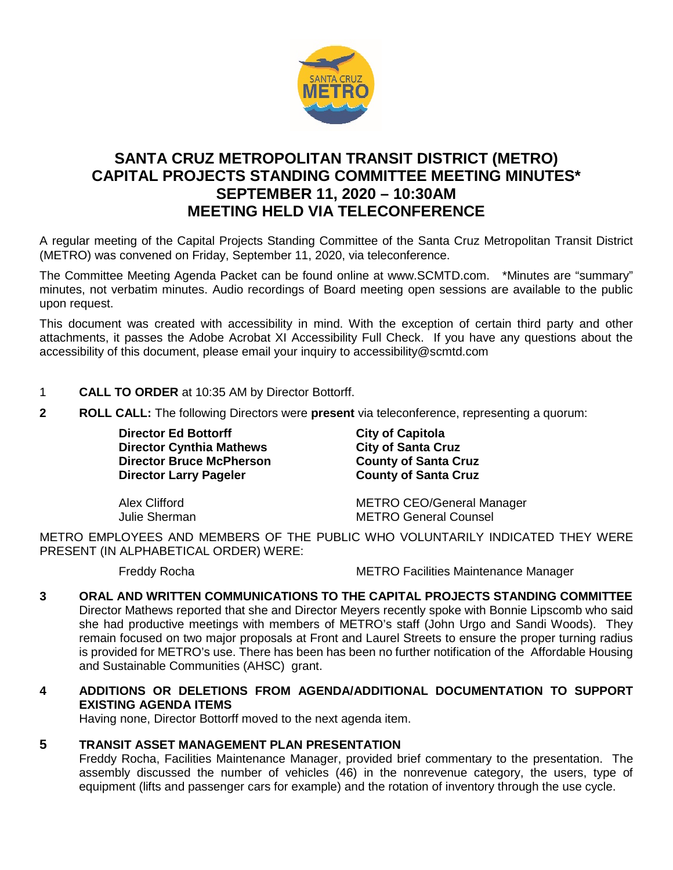

# **SANTA CRUZ METROPOLITAN TRANSIT DISTRICT (METRO) CAPITAL PROJECTS STANDING COMMITTEE MEETING MINUTES\* SEPTEMBER 11, 2020 – 10:30AM MEETING HELD VIA TELECONFERENCE**

A regular meeting of the Capital Projects Standing Committee of the Santa Cruz Metropolitan Transit District (METRO) was convened on Friday, September 11, 2020, via teleconference.

The Committee Meeting Agenda Packet can be found online at www.SCMTD.com. \*Minutes are "summary" minutes, not verbatim minutes. Audio recordings of Board meeting open sessions are available to the public upon request.

This document was created with accessibility in mind. With the exception of certain third party and other attachments, it passes the Adobe Acrobat XI Accessibility Full Check. If you have any questions about the accessibility of this document, please email your inquiry to accessibility@scmtd.com

- 1 **CALL TO ORDER** at 10:35 AM by Director Bottorff.
- **2 ROLL CALL:** The following Directors were **present** via teleconference, representing a quorum:

**Director Ed Bottorff Controllering City of Capitola**<br>
Director Cynthia Mathews City of Santa Cruz **Director Cynthia Mathews Director Bruce McPherson County of Santa Cruz Director Larry Pageler County of Santa Cruz**

Alex Clifford **METRO CEO/General Manager**<br>
METRO General Counsel **METRO General Counsel** 

METRO EMPLOYEES AND MEMBERS OF THE PUBLIC WHO VOLUNTARILY INDICATED THEY WERE PRESENT (IN ALPHABETICAL ORDER) WERE:

Freddy Rocha **METRO Facilities Maintenance Manager** 

## **3 ORAL AND WRITTEN COMMUNICATIONS TO THE CAPITAL PROJECTS STANDING COMMITTEE**

Director Mathews reported that she and Director Meyers recently spoke with Bonnie Lipscomb who said she had productive meetings with members of METRO's staff (John Urgo and Sandi Woods). They remain focused on two major proposals at Front and Laurel Streets to ensure the proper turning radius is provided for METRO's use. There has been has been no further notification of the Affordable Housing and Sustainable Communities (AHSC) grant.

### **4 ADDITIONS OR DELETIONS FROM AGENDA/ADDITIONAL DOCUMENTATION TO SUPPORT EXISTING AGENDA ITEMS**

Having none, Director Bottorff moved to the next agenda item.

### **5 TRANSIT ASSET MANAGEMENT PLAN PRESENTATION**

Freddy Rocha, Facilities Maintenance Manager, provided brief commentary to the presentation. The assembly discussed the number of vehicles (46) in the nonrevenue category, the users, type of equipment (lifts and passenger cars for example) and the rotation of inventory through the use cycle.